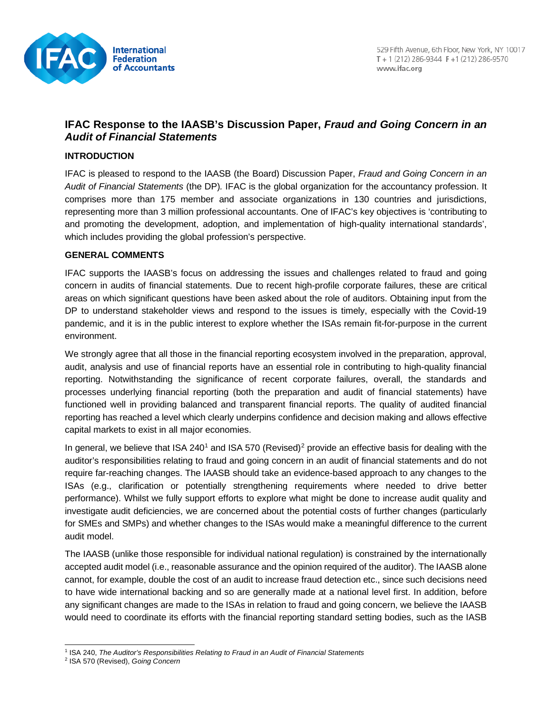

# **IFAC Response to the IAASB's Discussion Paper,** *Fraud and Going Concern in an Audit of Financial Statements*

### **INTRODUCTION**

IFAC is pleased to respond to the IAASB (the Board) Discussion Paper, *Fraud and Going Concern in an Audit of Financial Statements* (the DP)*.* IFAC is the global organization for the accountancy profession. It comprises more than 175 member and associate organizations in 130 countries and jurisdictions, representing more than 3 million professional accountants. One of IFAC's key objectives is 'contributing to and promoting the development, adoption, and implementation of high-quality international standards', which includes providing the global profession's perspective.

#### **GENERAL COMMENTS**

IFAC supports the IAASB's focus on addressing the issues and challenges related to fraud and going concern in audits of financial statements. Due to recent high-profile corporate failures, these are critical areas on which significant questions have been asked about the role of auditors. Obtaining input from the DP to understand stakeholder views and respond to the issues is timely, especially with the Covid-19 pandemic, and it is in the public interest to explore whether the ISAs remain fit-for-purpose in the current environment.

We strongly agree that all those in the financial reporting ecosystem involved in the preparation, approval, audit, analysis and use of financial reports have an essential role in contributing to high-quality financial reporting. Notwithstanding the significance of recent corporate failures, overall, the standards and processes underlying financial reporting (both the preparation and audit of financial statements) have functioned well in providing balanced and transparent financial reports. The quality of audited financial reporting has reached a level which clearly underpins confidence and decision making and allows effective capital markets to exist in all major economies.

In general, we believe that ISA 240<sup>[1](#page-0-0)</sup> and ISA 570 (Revised)<sup>[2](#page-0-1)</sup> provide an effective basis for dealing with the auditor's responsibilities relating to fraud and going concern in an audit of financial statements and do not require far-reaching changes. The IAASB should take an evidence-based approach to any changes to the ISAs (e.g., clarification or potentially strengthening requirements where needed to drive better performance). Whilst we fully support efforts to explore what might be done to increase audit quality and investigate audit deficiencies, we are concerned about the potential costs of further changes (particularly for SMEs and SMPs) and whether changes to the ISAs would make a meaningful difference to the current audit model.

The IAASB (unlike those responsible for individual national regulation) is constrained by the internationally accepted audit model (i.e., reasonable assurance and the opinion required of the auditor). The IAASB alone cannot, for example, double the cost of an audit to increase fraud detection etc., since such decisions need to have wide international backing and so are generally made at a national level first. In addition, before any significant changes are made to the ISAs in relation to fraud and going concern, we believe the IAASB would need to coordinate its efforts with the financial reporting standard setting bodies, such as the IASB

<sup>1</sup> ISA 240, *The Auditor's Responsibilities Relating to Fraud in an Audit of Financial Statements*

<span id="page-0-1"></span><span id="page-0-0"></span><sup>2</sup> ISA 570 (Revised), *Going Concern*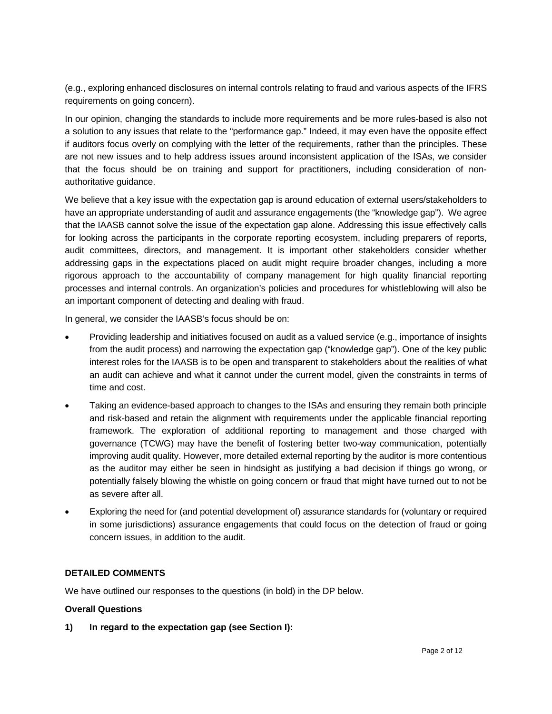(e.g., exploring enhanced disclosures on internal controls relating to fraud and various aspects of the IFRS requirements on going concern).

In our opinion, changing the standards to include more requirements and be more rules-based is also not a solution to any issues that relate to the "performance gap." Indeed, it may even have the opposite effect if auditors focus overly on complying with the letter of the requirements, rather than the principles. These are not new issues and to help address issues around inconsistent application of the ISAs, we consider that the focus should be on training and support for practitioners, including consideration of nonauthoritative guidance.

We believe that a key issue with the expectation gap is around education of external users/stakeholders to have an appropriate understanding of audit and assurance engagements (the "knowledge gap"). We agree that the IAASB cannot solve the issue of the expectation gap alone. Addressing this issue effectively calls for looking across the participants in the corporate reporting ecosystem, including preparers of reports, audit committees, directors, and management. It is important other stakeholders consider whether addressing gaps in the expectations placed on audit might require broader changes, including a more rigorous approach to the accountability of company management for high quality financial reporting processes and internal controls. An organization's policies and procedures for whistleblowing will also be an important component of detecting and dealing with fraud.

In general, we consider the IAASB's focus should be on:

- Providing leadership and initiatives focused on audit as a valued service (e.g., importance of insights from the audit process) and narrowing the expectation gap ("knowledge gap"). One of the key public interest roles for the IAASB is to be open and transparent to stakeholders about the realities of what an audit can achieve and what it cannot under the current model, given the constraints in terms of time and cost.
- Taking an evidence-based approach to changes to the ISAs and ensuring they remain both principle and risk-based and retain the alignment with requirements under the applicable financial reporting framework. The exploration of additional reporting to management and those charged with governance (TCWG) may have the benefit of fostering better two-way communication, potentially improving audit quality. However, more detailed external reporting by the auditor is more contentious as the auditor may either be seen in hindsight as justifying a bad decision if things go wrong, or potentially falsely blowing the whistle on going concern or fraud that might have turned out to not be as severe after all.
- Exploring the need for (and potential development of) assurance standards for (voluntary or required in some jurisdictions) assurance engagements that could focus on the detection of fraud or going concern issues, in addition to the audit.

#### **DETAILED COMMENTS**

We have outlined our responses to the questions (in bold) in the DP below.

#### **Overall Questions**

**1) In regard to the expectation gap (see Section I):**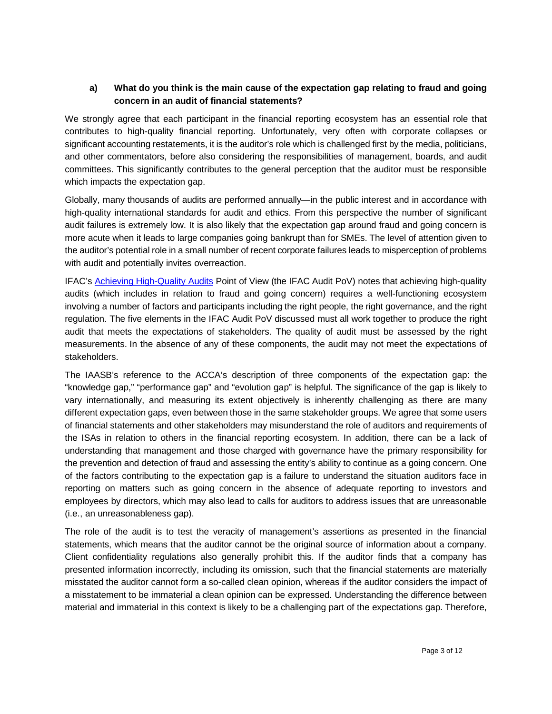### **a) What do you think is the main cause of the expectation gap relating to fraud and going concern in an audit of financial statements?**

We strongly agree that each participant in the financial reporting ecosystem has an essential role that contributes to high-quality financial reporting. Unfortunately, very often with corporate collapses or significant accounting restatements, it is the auditor's role which is challenged first by the media, politicians, and other commentators, before also considering the responsibilities of management, boards, and audit committees. This significantly contributes to the general perception that the auditor must be responsible which impacts the expectation gap.

Globally, many thousands of audits are performed annually—in the public interest and in accordance with high-quality international standards for audit and ethics. From this perspective the number of significant audit failures is extremely low. It is also likely that the expectation gap around fraud and going concern is more acute when it leads to large companies going bankrupt than for SMEs. The level of attention given to the auditor's potential role in a small number of recent corporate failures leads to misperception of problems with audit and potentially invites overreaction.

IFAC's [Achieving High-Quality Audits](https://www.ifac.org/what-we-do/speak-out-global-voice/points-view/achieving-high-quality-audits#toptab-2-the-right-people) Point of View (the IFAC Audit PoV) notes that achieving high-quality audits (which includes in relation to fraud and going concern) requires a well-functioning ecosystem involving a number of factors and participants including the right people, the right governance, and the right regulation. The five elements in the IFAC Audit PoV discussed must all work together to produce the right audit that meets the expectations of stakeholders. The quality of audit must be assessed by the right measurements. In the absence of any of these components, the audit may not meet the expectations of stakeholders.

The IAASB's reference to the ACCA's description of three components of the expectation gap: the "knowledge gap," "performance gap" and "evolution gap" is helpful. The significance of the gap is likely to vary internationally, and measuring its extent objectively is inherently challenging as there are many different expectation gaps, even between those in the same stakeholder groups. We agree that some users of financial statements and other stakeholders may misunderstand the role of auditors and requirements of the ISAs in relation to others in the financial reporting ecosystem. In addition, there can be a lack of understanding that management and those charged with governance have the primary responsibility for the prevention and detection of fraud and assessing the entity's ability to continue as a going concern. One of the factors contributing to the expectation gap is a failure to understand the situation auditors face in reporting on matters such as going concern in the absence of adequate reporting to investors and employees by directors, which may also lead to calls for auditors to address issues that are unreasonable (i.e., an unreasonableness gap).

The role of the audit is to test the veracity of management's assertions as presented in the financial statements, which means that the auditor cannot be the original source of information about a company. Client confidentiality regulations also generally prohibit this. If the auditor finds that a company has presented information incorrectly, including its omission, such that the financial statements are materially misstated the auditor cannot form a so-called clean opinion, whereas if the auditor considers the impact of a misstatement to be immaterial a clean opinion can be expressed. Understanding the difference between material and immaterial in this context is likely to be a challenging part of the expectations gap. Therefore,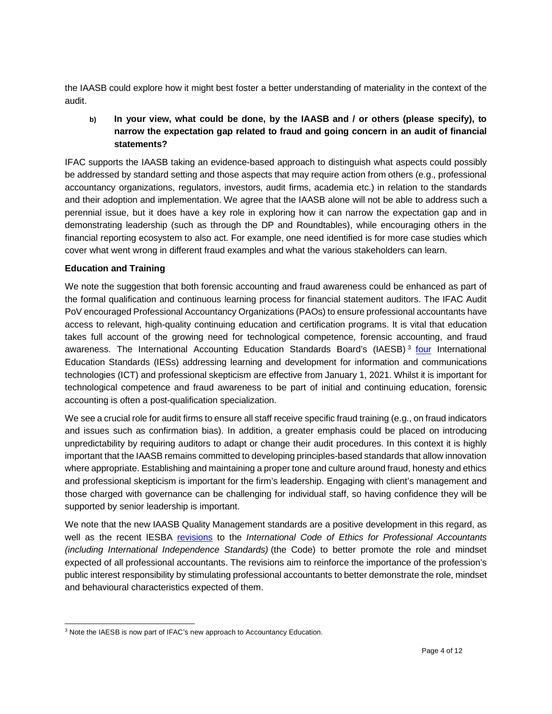the IAASB could explore how it might best foster a better understanding of materiality in the context of the audit.

**b) In your view, what could be done, by the IAASB and / or others (please specify), to narrow the expectation gap related to fraud and going concern in an audit of financial statements?**

IFAC supports the IAASB taking an evidence-based approach to distinguish what aspects could possibly be addressed by standard setting and those aspects that may require action from others (e.g., professional accountancy organizations, regulators, investors, audit firms, academia etc.) in relation to the standards and their adoption and implementation. We agree that the IAASB alone will not be able to address such a perennial issue, but it does have a key role in exploring how it can narrow the expectation gap and in demonstrating leadership (such as through the DP and Roundtables), while encouraging others in the financial reporting ecosystem to also act. For example, one need identified is for more case studies which cover what went wrong in different fraud examples and what the various stakeholders can learn.

#### **Education and Training**

We note the suggestion that both forensic accounting and fraud awareness could be enhanced as part of the formal qualification and continuous learning process for financial statement auditors. The IFAC Audit PoV encouraged Professional Accountancy Organizations (PAOs) to ensure professional accountants have access to relevant, high-quality continuing education and certification programs. It is vital that education takes full account of the growing need for technological competence, forensic accounting, and fraud awareness. The International Accounting Education Standards Board's (IAESB) [3](#page-3-0) [four](https://www.iaesb.org/news-events/2019-10/new-education-standards-focus-enhancing-accountancys-technology-and-skepticism-skills) International Education Standards (IESs) addressing learning and development for information and communications technologies (ICT) and professional skepticism are effective from January 1, 2021. Whilst it is important for technological competence and fraud awareness to be part of initial and continuing education, forensic accounting is often a post-qualification specialization.

We see a crucial role for audit firms to ensure all staff receive specific fraud training (e.g., on fraud indicators and issues such as confirmation bias). In addition, a greater emphasis could be placed on introducing unpredictability by requiring auditors to adapt or change their audit procedures. In this context it is highly important that the IAASB remains committed to developing principles-based standards that allow innovation where appropriate. Establishing and maintaining a proper tone and culture around fraud, honesty and ethics and professional skepticism is important for the firm's leadership. Engaging with client's management and those charged with governance can be challenging for individual staff, so having confidence they will be supported by senior leadership is important.

We note that the new IAASB Quality Management standards are a positive development in this regard, as well as the recent IESBA [revisions](https://www.ethicsboard.org/publications/final-pronouncement-revisions-code-promote-role-and-mindset-expected-professional-accountants) to the *International Code of Ethics for Professional Accountants (including International Independence Standards)* (the Code) to better promote the role and mindset expected of all professional accountants. The revisions aim to reinforce the importance of the profession's public interest responsibility by stimulating professional accountants to better demonstrate the role, mindset and behavioural characteristics expected of them.

<span id="page-3-0"></span><sup>&</sup>lt;sup>3</sup> Note the IAESB is now part of IFAC's new approach to Accountancy Education.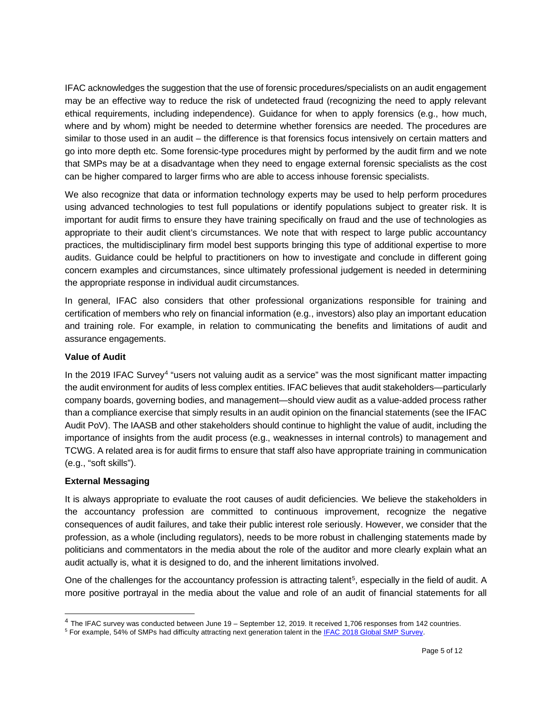IFAC acknowledges the suggestion that the use of forensic procedures/specialists on an audit engagement may be an effective way to reduce the risk of undetected fraud (recognizing the need to apply relevant ethical requirements, including independence). Guidance for when to apply forensics (e.g., how much, where and by whom) might be needed to determine whether forensics are needed. The procedures are similar to those used in an audit – the difference is that forensics focus intensively on certain matters and go into more depth etc. Some forensic-type procedures might by performed by the audit firm and we note that SMPs may be at a disadvantage when they need to engage external forensic specialists as the cost can be higher compared to larger firms who are able to access inhouse forensic specialists.

We also recognize that data or information technology experts may be used to help perform procedures using advanced technologies to test full populations or identify populations subject to greater risk. It is important for audit firms to ensure they have training specifically on fraud and the use of technologies as appropriate to their audit client's circumstances. We note that with respect to large public accountancy practices, the multidisciplinary firm model best supports bringing this type of additional expertise to more audits. Guidance could be helpful to practitioners on how to investigate and conclude in different going concern examples and circumstances, since ultimately professional judgement is needed in determining the appropriate response in individual audit circumstances.

In general, IFAC also considers that other professional organizations responsible for training and certification of members who rely on financial information (e.g., investors) also play an important education and training role. For example, in relation to communicating the benefits and limitations of audit and assurance engagements.

#### **Value of Audit**

In the 2019 IFAC Survey<sup>[4](#page-4-0)</sup> "users not valuing audit as a service" was the most significant matter impacting the audit environment for audits of less complex entities. IFAC believes that audit stakeholders—particularly company boards, governing bodies, and management—should view audit as a value-added process rather than a compliance exercise that simply results in an audit opinion on the financial statements (see the IFAC Audit PoV). The IAASB and other stakeholders should continue to highlight the value of audit, including the importance of insights from the audit process (e.g., weaknesses in internal controls) to management and TCWG. A related area is for audit firms to ensure that staff also have appropriate training in communication (e.g., "soft skills").

#### **External Messaging**

It is always appropriate to evaluate the root causes of audit deficiencies. We believe the stakeholders in the accountancy profession are committed to continuous improvement, recognize the negative consequences of audit failures, and take their public interest role seriously. However, we consider that the profession, as a whole (including regulators), needs to be more robust in challenging statements made by politicians and commentators in the media about the role of the auditor and more clearly explain what an audit actually is, what it is designed to do, and the inherent limitations involved.

One of the challenges for the accountancy profession is attracting talent<sup>5</sup>, especially in the field of audit. A more positive portrayal in the media about the value and role of an audit of financial statements for all

<span id="page-4-0"></span><sup>4</sup> The IFAC survey was conducted between June 19 – September 12, 2019. It received 1,706 responses from 142 countries.

<span id="page-4-1"></span><sup>&</sup>lt;sup>5</sup> For example, 54% of SMPs had difficulty attracting next generation talent in the IFAC 2018 Global SMP Survey.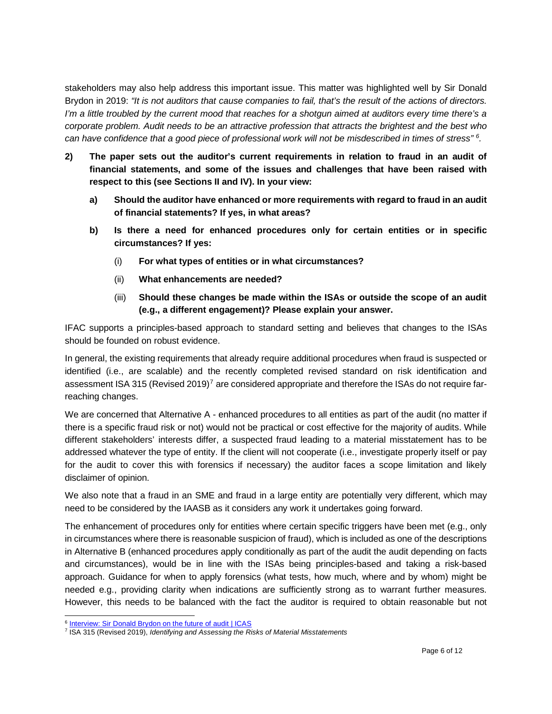stakeholders may also help address this important issue. This matter was highlighted well by Sir Donald Brydon in 2019: *"It is not auditors that cause companies to fail, that's the result of the actions of directors. I'm a little troubled by the current mood that reaches for a shotgun aimed at auditors every time there's a corporate problem. Audit needs to be an attractive profession that attracts the brightest and the best who can have confidence that a good piece of professional work will not be misdescribed in times of stress" [6.](#page-5-0)*

- **2) The paper sets out the auditor's current requirements in relation to fraud in an audit of financial statements, and some of the issues and challenges that have been raised with respect to this (see Sections II and IV). In your view:** 
	- **a) Should the auditor have enhanced or more requirements with regard to fraud in an audit of financial statements? If yes, in what areas?**
	- **b) Is there a need for enhanced procedures only for certain entities or in specific circumstances? If yes:** 
		- (i) **For what types of entities or in what circumstances?**
		- (ii) **What enhancements are needed?**
		- (iii) **Should these changes be made within the ISAs or outside the scope of an audit (e.g., a different engagement)? Please explain your answer.**

IFAC supports a principles-based approach to standard setting and believes that changes to the ISAs should be founded on robust evidence.

In general, the existing requirements that already require additional procedures when fraud is suspected or identified (i.e., are scalable) and the recently completed revised standard on risk identification and assessment ISA 315 (Revised 2019)<sup>[7](#page-5-1)</sup> are considered appropriate and therefore the ISAs do not require farreaching changes.

We are concerned that Alternative A - enhanced procedures to all entities as part of the audit (no matter if there is a specific fraud risk or not) would not be practical or cost effective for the majority of audits. While different stakeholders' interests differ, a suspected fraud leading to a material misstatement has to be addressed whatever the type of entity. If the client will not cooperate (i.e., investigate properly itself or pay for the audit to cover this with forensics if necessary) the auditor faces a scope limitation and likely disclaimer of opinion.

We also note that a fraud in an SME and fraud in a large entity are potentially very different, which may need to be considered by the IAASB as it considers any work it undertakes going forward.

The enhancement of procedures only for entities where certain specific triggers have been met (e.g., only in circumstances where there is reasonable suspicion of fraud), which is included as one of the descriptions in Alternative B (enhanced procedures apply conditionally as part of the audit the audit depending on facts and circumstances), would be in line with the ISAs being principles-based and taking a risk-based approach. Guidance for when to apply forensics (what tests, how much, where and by whom) might be needed e.g., providing clarity when indications are sufficiently strong as to warrant further measures. However, this needs to be balanced with the fact the auditor is required to obtain reasonable but not

<sup>&</sup>lt;sup>6</sup> [Interview: Sir Donald Brydon on the future of audit | ICAS](https://www.icas.com/thought-leadership/trust/sir-donald-brydon-interview-future-of-audit)

<span id="page-5-1"></span><span id="page-5-0"></span><sup>7</sup> ISA 315 (Revised 2019), *Identifying and Assessing the Risks of Material Misstatements*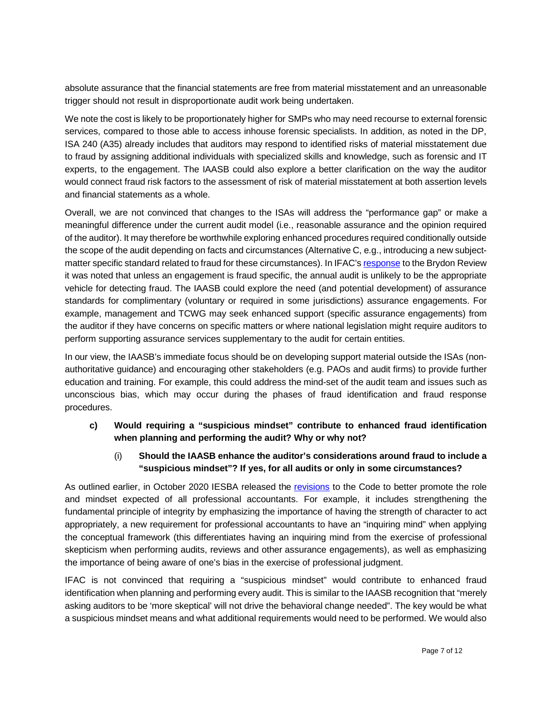absolute assurance that the financial statements are free from material misstatement and an unreasonable trigger should not result in disproportionate audit work being undertaken.

We note the cost is likely to be proportionately higher for SMPs who may need recourse to external forensic services, compared to those able to access inhouse forensic specialists. In addition, as noted in the DP, ISA 240 (A35) already includes that auditors may respond to identified risks of material misstatement due to fraud by assigning additional individuals with specialized skills and knowledge, such as forensic and IT experts, to the engagement. The IAASB could also explore a better clarification on the way the auditor would connect fraud risk factors to the assessment of risk of material misstatement at both assertion levels and financial statements as a whole.

Overall, we are not convinced that changes to the ISAs will address the "performance gap" or make a meaningful difference under the current audit model (i.e., reasonable assurance and the opinion required of the auditor). It may therefore be worthwhile exploring enhanced procedures required conditionally outside the scope of the audit depending on facts and circumstances (Alternative C, e.g., introducing a new subjectmatter specific standard related to fraud for these circumstances). In IFAC'[s response](https://www.ifac.org/system/files/publications/files/IFAC-Response-to-Brydon-Review-June-7-2019.pdf) to the Brydon Review it was noted that unless an engagement is fraud specific, the annual audit is unlikely to be the appropriate vehicle for detecting fraud. The IAASB could explore the need (and potential development) of assurance standards for complimentary (voluntary or required in some jurisdictions) assurance engagements. For example, management and TCWG may seek enhanced support (specific assurance engagements) from the auditor if they have concerns on specific matters or where national legislation might require auditors to perform supporting assurance services supplementary to the audit for certain entities.

In our view, the IAASB's immediate focus should be on developing support material outside the ISAs (nonauthoritative guidance) and encouraging other stakeholders (e.g. PAOs and audit firms) to provide further education and training. For example, this could address the mind-set of the audit team and issues such as unconscious bias, which may occur during the phases of fraud identification and fraud response procedures.

**c) Would requiring a "suspicious mindset" contribute to enhanced fraud identification when planning and performing the audit? Why or why not?**

# (i) **Should the IAASB enhance the auditor's considerations around fraud to include a "suspicious mindset"? If yes, for all audits or only in some circumstances?**

As outlined earlier, in October 2020 IESBA released the [revisions](https://www.ethicsboard.org/publications/final-pronouncement-revisions-code-promote-role-and-mindset-expected-professional-accountants) to the Code to better promote the role and mindset expected of all professional accountants. For example, it includes strengthening the fundamental principle of integrity by emphasizing the importance of having the strength of character to act appropriately, a new requirement for professional accountants to have an "inquiring mind" when applying the conceptual framework (this differentiates having an inquiring mind from the exercise of professional skepticism when performing audits, reviews and other assurance engagements), as well as emphasizing the importance of being aware of one's bias in the exercise of professional judgment.

IFAC is not convinced that requiring a "suspicious mindset" would contribute to enhanced fraud identification when planning and performing every audit. This is similar to the IAASB recognition that "merely asking auditors to be 'more skeptical' will not drive the behavioral change needed". The key would be what a suspicious mindset means and what additional requirements would need to be performed. We would also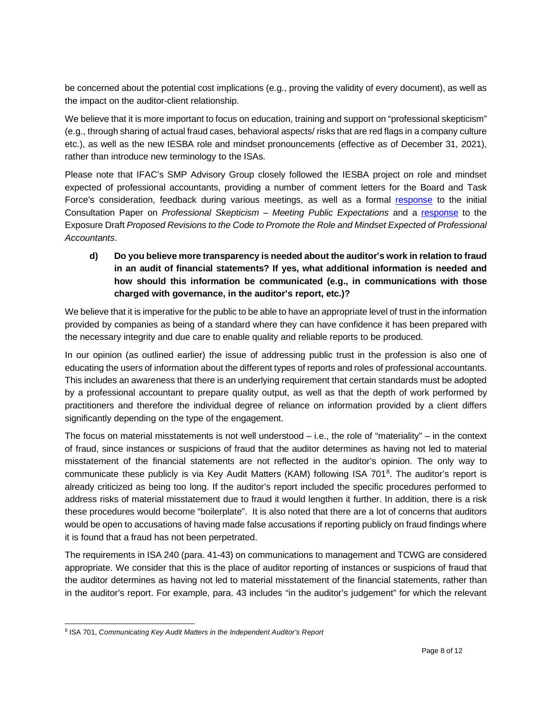be concerned about the potential cost implications (e.g., proving the validity of every document), as well as the impact on the auditor-client relationship.

We believe that it is more important to focus on education, training and support on "professional skepticism" (e.g., through sharing of actual fraud cases, behavioral aspects/ risks that are red flags in a company culture etc.), as well as the new IESBA role and mindset pronouncements (effective as of December 31, 2021), rather than introduce new terminology to the ISAs.

Please note that IFAC's SMP Advisory Group closely followed the IESBA project on role and mindset expected of professional accountants, providing a number of comment letters for the Board and Task Force's consideration, feedback during various meetings, as well as a formal [response](https://www.ifac.org/system/files/publications/files/Professional_Skepticism_Meeting_Public_Expectations.pdf) to the initial Consultation Paper on *Professional Skepticism – Meeting Public Expectations* and a [response](https://www.ifac.org/system/files/publications/files/SMPC-Comment-Letter-IESBA-Proposed-Revisions-Code-Promote-Role-Mindset-Expected-Professional-Accountants.pdf) to the Exposure Draft *Proposed Revisions to the Code to Promote the Role and Mindset Expected of Professional Accountants*.

# **d) Do you believe more transparency is needed about the auditor's work in relation to fraud in an audit of financial statements? If yes, what additional information is needed and how should this information be communicated (e.g., in communications with those charged with governance, in the auditor's report, etc.)?**

We believe that it is imperative for the public to be able to have an appropriate level of trust in the information provided by companies as being of a standard where they can have confidence it has been prepared with the necessary integrity and due care to enable quality and reliable reports to be produced.

In our opinion (as outlined earlier) the issue of addressing public trust in the profession is also one of educating the users of information about the different types of reports and roles of professional accountants. This includes an awareness that there is an underlying requirement that certain standards must be adopted by a professional accountant to prepare quality output, as well as that the depth of work performed by practitioners and therefore the individual degree of reliance on information provided by a client differs significantly depending on the type of the engagement.

The focus on material misstatements is not well understood – i.e., the role of "materiality" – in the context of fraud, since instances or suspicions of fraud that the auditor determines as having not led to material misstatement of the financial statements are not reflected in the auditor's opinion. The only way to communicate these publicly is via Key Audit Matters (KAM) following ISA 701<sup>[8](#page-7-0)</sup>. The auditor's report is already criticized as being too long. If the auditor's report included the specific procedures performed to address risks of material misstatement due to fraud it would lengthen it further. In addition, there is a risk these procedures would become "boilerplate". It is also noted that there are a lot of concerns that auditors would be open to accusations of having made false accusations if reporting publicly on fraud findings where it is found that a fraud has not been perpetrated.

The requirements in ISA 240 (para. 41-43) on communications to management and TCWG are considered appropriate. We consider that this is the place of auditor reporting of instances or suspicions of fraud that the auditor determines as having not led to material misstatement of the financial statements, rather than in the auditor's report. For example, para. 43 includes "in the auditor's judgement" for which the relevant

<span id="page-7-0"></span><sup>8</sup> ISA 701, *Communicating Key Audit Matters in the Independent Auditor's Report*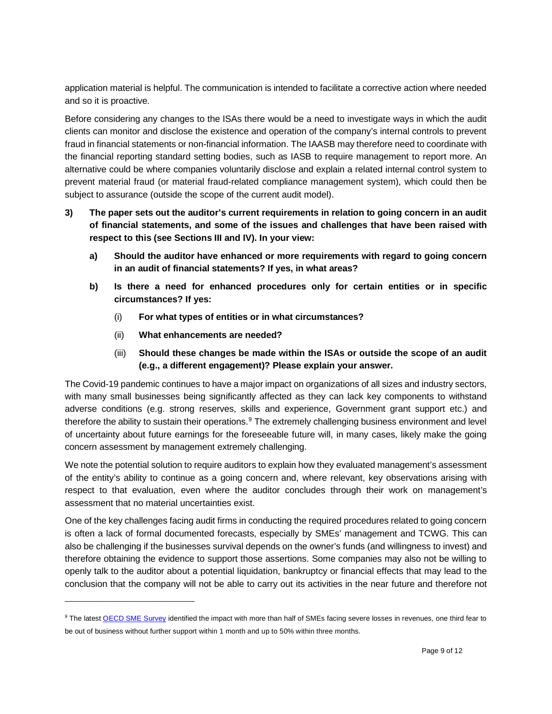application material is helpful. The communication is intended to facilitate a corrective action where needed and so it is proactive.

Before considering any changes to the ISAs there would be a need to investigate ways in which the audit clients can monitor and disclose the existence and operation of the company's internal controls to prevent fraud in financial statements or non-financial information. The IAASB may therefore need to coordinate with the financial reporting standard setting bodies, such as IASB to require management to report more. An alternative could be where companies voluntarily disclose and explain a related internal control system to prevent material fraud (or material fraud-related compliance management system), which could then be subject to assurance (outside the scope of the current audit model).

- **3) The paper sets out the auditor's current requirements in relation to going concern in an audit of financial statements, and some of the issues and challenges that have been raised with respect to this (see Sections III and IV). In your view:** 
	- **a) Should the auditor have enhanced or more requirements with regard to going concern in an audit of financial statements? If yes, in what areas?**
	- **b) Is there a need for enhanced procedures only for certain entities or in specific circumstances? If yes:** 
		- (i) **For what types of entities or in what circumstances?**
		- (ii) **What enhancements are needed?**
		- (iii) **Should these changes be made within the ISAs or outside the scope of an audit (e.g., a different engagement)? Please explain your answer.**

The Covid-19 pandemic continues to have a major impact on organizations of all sizes and industry sectors, with many small businesses being significantly affected as they can lack key components to withstand adverse conditions (e.g. strong reserves, skills and experience, Government grant support etc.) and therefore the ability to sustain their operations.<sup>[9](#page-8-0)</sup> The extremely challenging business environment and level of uncertainty about future earnings for the foreseeable future will, in many cases, likely make the going concern assessment by management extremely challenging.

We note the potential solution to require auditors to explain how they evaluated management's assessment of the entity's ability to continue as a going concern and, where relevant, key observations arising with respect to that evaluation, even where the auditor concludes through their work on management's assessment that no material uncertainties exist.

One of the key challenges facing audit firms in conducting the required procedures related to going concern is often a lack of formal documented forecasts, especially by SMEs' management and TCWG. This can also be challenging if the businesses survival depends on the owner's funds (and willingness to invest) and therefore obtaining the evidence to support those assertions. Some companies may also not be willing to openly talk to the auditor about a potential liquidation, bankruptcy or financial effects that may lead to the conclusion that the company will not be able to carry out its activities in the near future and therefore not

<span id="page-8-0"></span><sup>&</sup>lt;sup>9</sup> The lates[t OECD](http://oecd.org/coronavirus/policy-responses/coronavirus-covid-19-sme-policy-responses-04440101/) SME Survey identified the impact with more than half of SMEs facing severe losses in revenues, one third fear to be out of business without further support within 1 month and up to 50% within three months.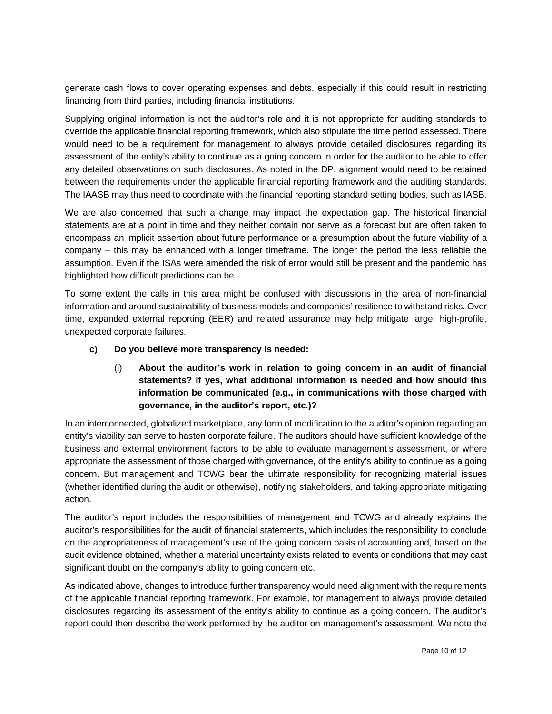generate cash flows to cover operating expenses and debts, especially if this could result in restricting financing from third parties, including financial institutions.

Supplying original information is not the auditor's role and it is not appropriate for auditing standards to override the applicable financial reporting framework, which also stipulate the time period assessed. There would need to be a requirement for management to always provide detailed disclosures regarding its assessment of the entity's ability to continue as a going concern in order for the auditor to be able to offer any detailed observations on such disclosures. As noted in the DP, alignment would need to be retained between the requirements under the applicable financial reporting framework and the auditing standards. The IAASB may thus need to coordinate with the financial reporting standard setting bodies, such as IASB.

We are also concerned that such a change may impact the expectation gap. The historical financial statements are at a point in time and they neither contain nor serve as a forecast but are often taken to encompass an implicit assertion about future performance or a presumption about the future viability of a company – this may be enhanced with a longer timeframe. The longer the period the less reliable the assumption. Even if the ISAs were amended the risk of error would still be present and the pandemic has highlighted how difficult predictions can be.

To some extent the calls in this area might be confused with discussions in the area of non-financial information and around sustainability of business models and companies' resilience to withstand risks. Over time, expanded external reporting (EER) and related assurance may help mitigate large, high-profile, unexpected corporate failures.

#### **c) Do you believe more transparency is needed:**

(i) **About the auditor's work in relation to going concern in an audit of financial statements? If yes, what additional information is needed and how should this information be communicated (e.g., in communications with those charged with governance, in the auditor's report, etc.)?** 

In an interconnected, globalized marketplace, any form of modification to the auditor's opinion regarding an entity's viability can serve to hasten corporate failure. The auditors should have sufficient knowledge of the business and external environment factors to be able to evaluate management's assessment, or where appropriate the assessment of those charged with governance, of the entity's ability to continue as a going concern. But management and TCWG bear the ultimate responsibility for recognizing material issues (whether identified during the audit or otherwise), notifying stakeholders, and taking appropriate mitigating action.

The auditor's report includes the responsibilities of management and TCWG and already explains the auditor's responsibilities for the audit of financial statements, which includes the responsibility to conclude on the appropriateness of management's use of the going concern basis of accounting and, based on the audit evidence obtained, whether a material uncertainty exists related to events or conditions that may cast significant doubt on the company's ability to going concern etc.

As indicated above, changes to introduce further transparency would need alignment with the requirements of the applicable financial reporting framework. For example, for management to always provide detailed disclosures regarding its assessment of the entity's ability to continue as a going concern. The auditor's report could then describe the work performed by the auditor on management's assessment. We note the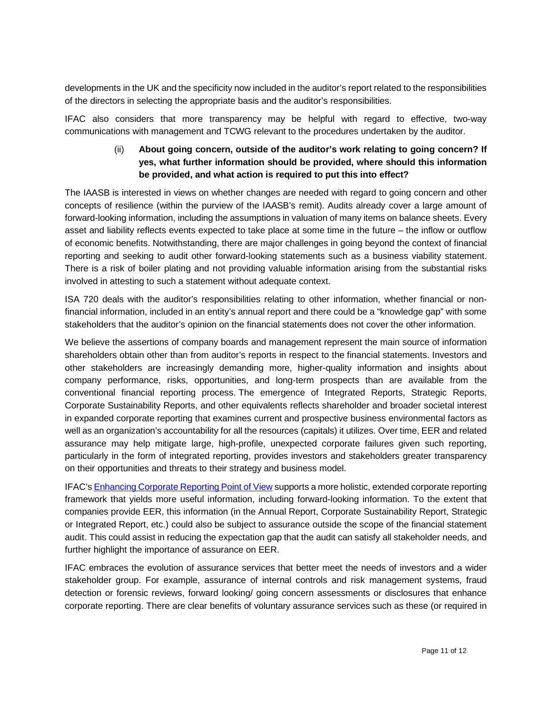developments in the UK and the specificity now included in the auditor's report related to the responsibilities of the directors in selecting the appropriate basis and the auditor's responsibilities.

IFAC also considers that more transparency may be helpful with regard to effective, two-way communications with management and TCWG relevant to the procedures undertaken by the auditor.

## (ii) **About going concern, outside of the auditor's work relating to going concern? If yes, what further information should be provided, where should this information be provided, and what action is required to put this into effect?**

The IAASB is interested in views on whether changes are needed with regard to going concern and other concepts of resilience (within the purview of the IAASB's remit). Audits already cover a large amount of forward-looking information, including the assumptions in valuation of many items on balance sheets. Every asset and liability reflects events expected to take place at some time in the future – the inflow or outflow of economic benefits. Notwithstanding, there are major challenges in going beyond the context of financial reporting and seeking to audit other forward-looking statements such as a business viability statement. There is a risk of boiler plating and not providing valuable information arising from the substantial risks involved in attesting to such a statement without adequate context.

ISA 720 deals with the auditor's responsibilities relating to other information, whether financial or nonfinancial information, included in an entity's annual report and there could be a "knowledge gap" with some stakeholders that the auditor's opinion on the financial statements does not cover the other information.

We believe the assertions of company boards and management represent the main source of information shareholders obtain other than from auditor's reports in respect to the financial statements. Investors and other stakeholders are increasingly demanding more, higher-quality information and insights about company performance, risks, opportunities, and long-term prospects than are available from the conventional financial reporting process. The emergence of Integrated Reports, Strategic Reports, Corporate Sustainability Reports, and other equivalents reflects shareholder and broader societal interest in expanded corporate reporting that examines current and prospective business environmental factors as well as an organization's accountability for all the resources (capitals) it utilizes. Over time, EER and related assurance may help mitigate large, high-profile, unexpected corporate failures given such reporting, particularly in the form of integrated reporting, provides investors and stakeholders greater transparency on their opportunities and threats to their strategy and business model.

IFAC'[s Enhancing Corporate Reporting Point of View](https://www.ifac.org/what-we-do/speak-out-global-voice/points-view/enhancing-corporate-reporting) supports a more holistic, extended corporate reporting framework that yields more useful information, including forward-looking information. To the extent that companies provide EER, this information (in the Annual Report, Corporate Sustainability Report, Strategic or Integrated Report, etc.) could also be subject to assurance outside the scope of the financial statement audit. This could assist in reducing the expectation gap that the audit can satisfy all stakeholder needs, and further highlight the importance of assurance on EER.

IFAC embraces the evolution of assurance services that better meet the needs of investors and a wider stakeholder group. For example, assurance of internal controls and risk management systems, fraud detection or forensic reviews, forward looking/ going concern assessments or disclosures that enhance corporate reporting. There are clear benefits of voluntary assurance services such as these (or required in